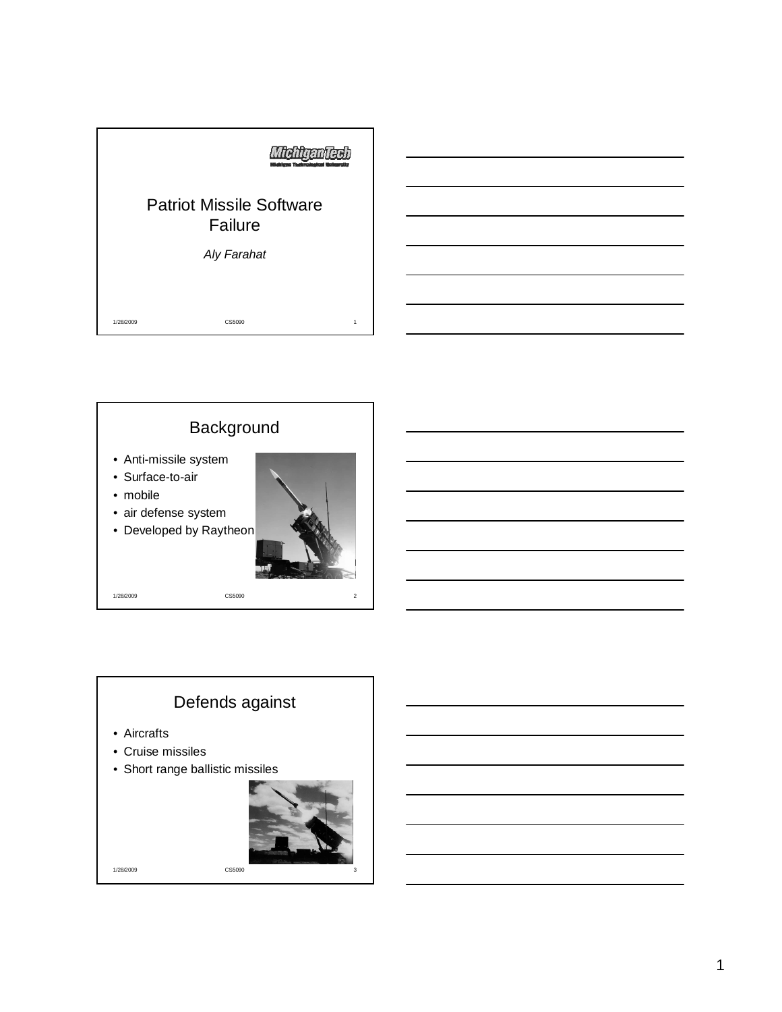



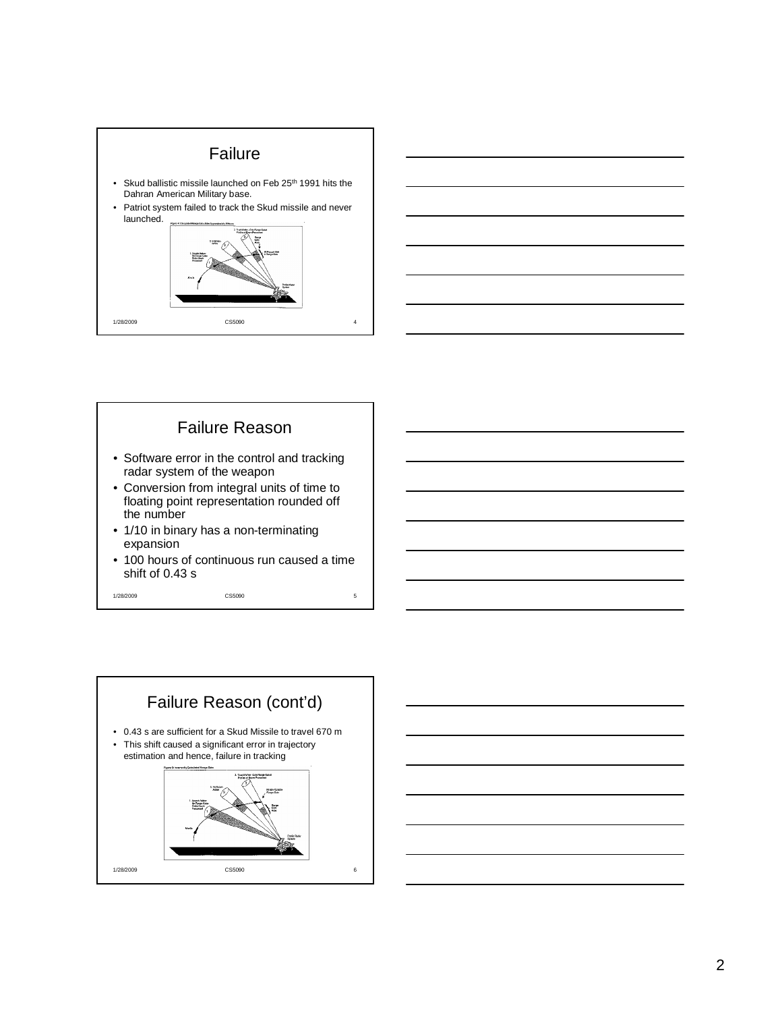



## Failure Reason • Software error in the control and tracking radar system of the weapon • Conversion from integral units of time to floating point representation rounded off the number

- 1/10 in binary has a non-terminating expansion
- 100 hours of continuous run caused a time shift of 0.43 s

1/28/2009 CS5090 5

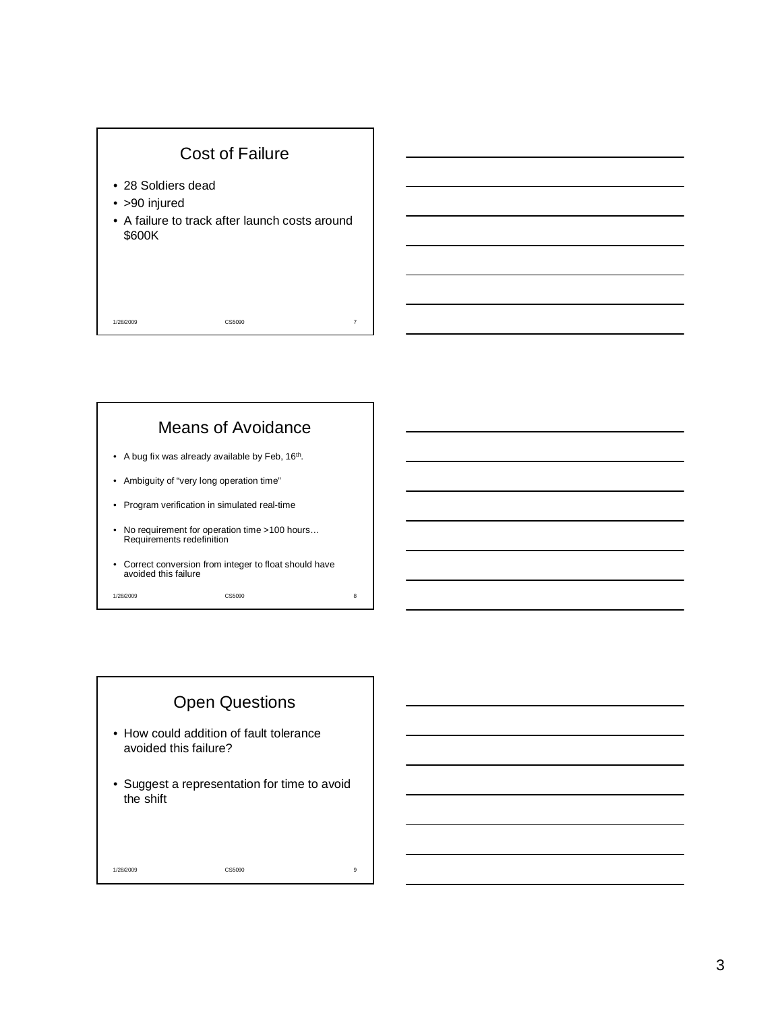

## Means of Avoidance

- A bug fix was already available by Feb, 16<sup>th</sup>.
- Ambiguity of "very long operation time"
- Program verification in simulated real-time
- No requirement for operation time >100 hours... Requirements redefinition
- Correct conversion from integer to float should have avoided this failure

1/28/2009 CS5090 8

## Open Questions

- How could addition of fault tolerance avoided this failure?
- Suggest a representation for time to avoid the shift

1/28/2009 CS5090 9